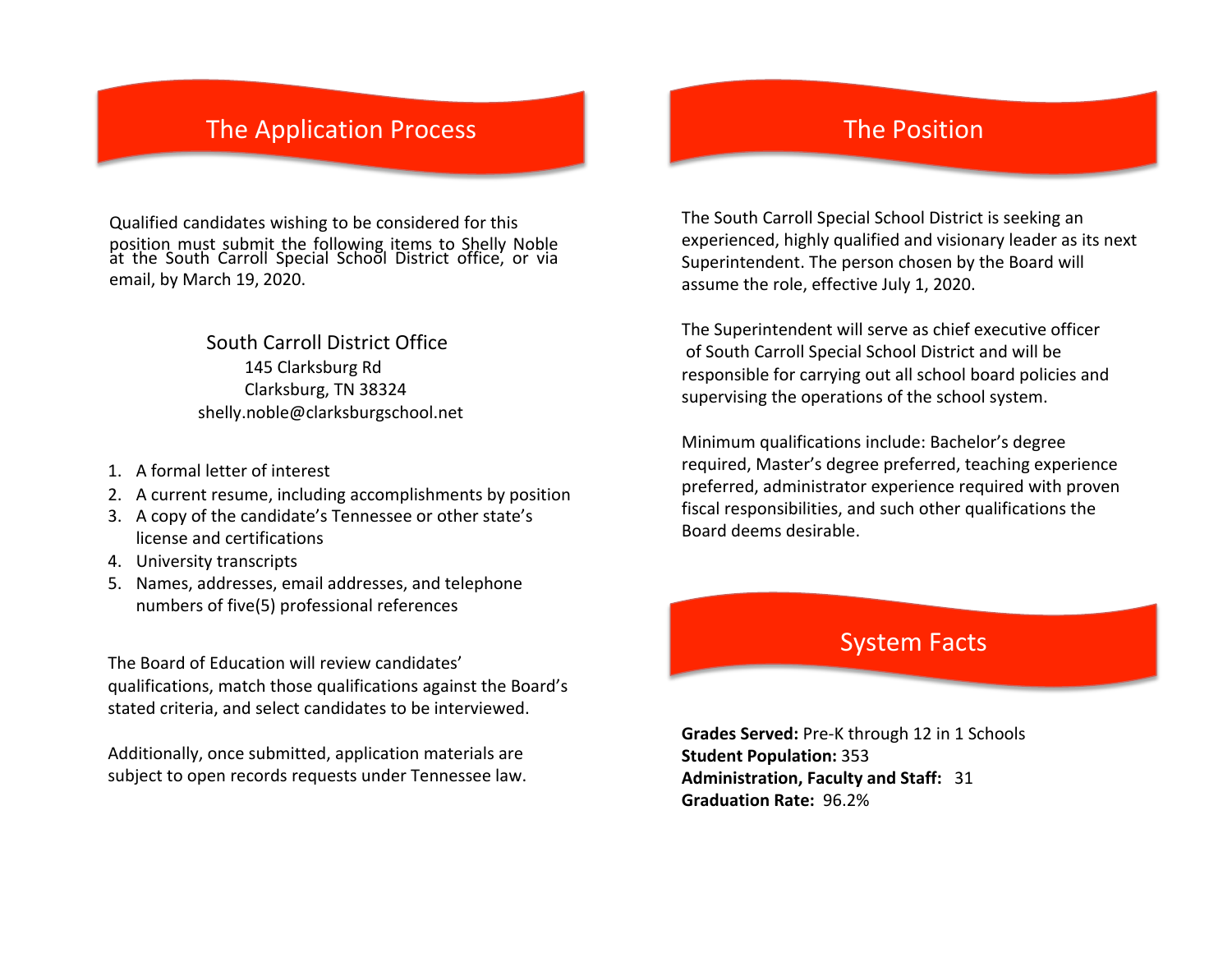## **The Application Process**

Qualified candidates wishing to be considered for this position must submit the following items **2 臨犯** 

| 胛   | <b>FIRAL FIRAL (704 FIRANT)</b> |    |      |  | <b>bbme</b> |
|-----|---------------------------------|----|------|--|-------------|
| 【热的 | œ                               | аp | 202团 |  |             |
|     |                                 |    |      |  |             |



- 1. A formal letter of interest
- 2. A current resume, including accomplishments by position
- 3. A copy of the candidate's Tennessee or other state's license and certifications
- 4. University transcripts
- 5. Names, addresses, email addresses, and telephone numbers of five(5) professional references

The Board of Education will review candidates' qualifications, match those qualifications against the Board's stated criteria, and select candidates to be interviewed.

Additionally, once submitted, application materials are subject to open records requests under Tennessee law.

### **The Position**

The South Carroll Special School District is seeking an experienced, highly qualified and visionary leader as its next Superintendent. The person chosen by the Board will assume the role, effective July 1, 2020.

The Superintendent will serve as chief executive officer of South Carroll Special School District and will be responsible for carrying out all school board policies and supervising the operations of the school system.

Minimum qualifications include: Bachelor's degree required, Master's degree preferred, teaching experience preferred, administrator experience required with proven fiscal responsibilities, and such other qualifications the Board deems desirable.

#### **System Facts**

Grades Served: Pre-K through 12 in 1 School **Student Population: 312** Administration, Faculty and Staff: 2 2 Graduation Rate: 2